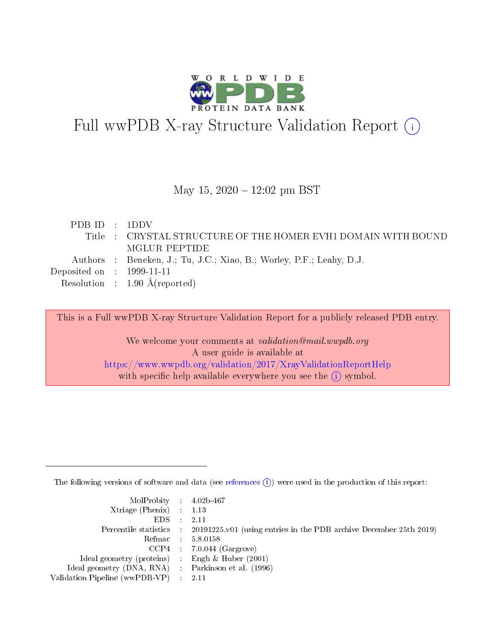

# Full wwPDB X-ray Structure Validation Report (i)

#### May 15,  $2020 - 12:02$  pm BST

| PDB ID $\cdot$ 1DDV                  |                                                                      |
|--------------------------------------|----------------------------------------------------------------------|
|                                      | Title : CRYSTAL STRUCTURE OF THE HOMER EVH1 DOMAIN WITH BOUND        |
|                                      | MGLUR PEPTIDE                                                        |
|                                      | Authors : Beneken, J.; Tu, J.C.; Xiao, B.; Worley, P.F.; Leahy, D.J. |
| Deposited on $\therefore$ 1999-11-11 |                                                                      |
|                                      | Resolution : $1.90 \text{ Å}$ (reported)                             |

This is a Full wwPDB X-ray Structure Validation Report for a publicly released PDB entry.

We welcome your comments at validation@mail.wwpdb.org A user guide is available at <https://www.wwpdb.org/validation/2017/XrayValidationReportHelp> with specific help available everywhere you see the  $(i)$  symbol.

The following versions of software and data (see [references](https://www.wwpdb.org/validation/2017/XrayValidationReportHelp#references)  $(i)$ ) were used in the production of this report:

| $MolProbability$ 4.02b-467                          |                                                                                            |
|-----------------------------------------------------|--------------------------------------------------------------------------------------------|
| Xtriage (Phenix) $: 1.13$                           |                                                                                            |
| $EDS$ :                                             | -2.11                                                                                      |
|                                                     | Percentile statistics : 20191225.v01 (using entries in the PDB archive December 25th 2019) |
|                                                     | Refmac : 5.8.0158                                                                          |
|                                                     | $CCP4$ : 7.0.044 (Gargrove)                                                                |
| Ideal geometry (proteins) : Engh $\&$ Huber (2001)  |                                                                                            |
| Ideal geometry (DNA, RNA) : Parkinson et al. (1996) |                                                                                            |
| Validation Pipeline (wwPDB-VP)                      | -2.11                                                                                      |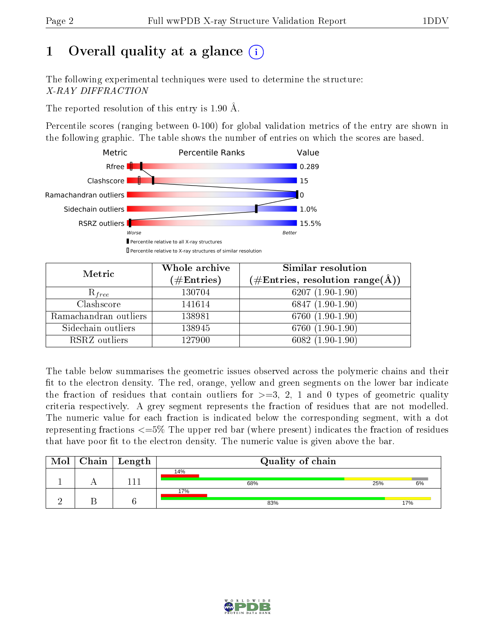## 1 [O](https://www.wwpdb.org/validation/2017/XrayValidationReportHelp#overall_quality)verall quality at a glance  $(i)$

The following experimental techniques were used to determine the structure: X-RAY DIFFRACTION

The reported resolution of this entry is 1.90 Å.

Percentile scores (ranging between 0-100) for global validation metrics of the entry are shown in the following graphic. The table shows the number of entries on which the scores are based.



| Metric                | Whole archive<br>$(\#\text{Entries})$ | Similar resolution<br>$(\#\text{Entries}, \text{resolution range}(\textup{\AA}))$ |
|-----------------------|---------------------------------------|-----------------------------------------------------------------------------------|
| $R_{free}$            | 130704                                | $6207(1.90-1.90)$                                                                 |
| Clashscore            | 141614                                | 6847 (1.90-1.90)                                                                  |
| Ramachandran outliers | 138981                                | 6760 (1.90-1.90)                                                                  |
| Sidechain outliers    | 138945                                | 6760 (1.90-1.90)                                                                  |
| RSRZ outliers         | 127900                                | $6082(1.90-1.90)$                                                                 |

The table below summarises the geometric issues observed across the polymeric chains and their fit to the electron density. The red, orange, yellow and green segments on the lower bar indicate the fraction of residues that contain outliers for  $>=$  3, 2, 1 and 0 types of geometric quality criteria respectively. A grey segment represents the fraction of residues that are not modelled. The numeric value for each fraction is indicated below the corresponding segment, with a dot representing fractions  $\epsilon=5\%$  The upper red bar (where present) indicates the fraction of residues that have poor fit to the electron density. The numeric value is given above the bar.

| Mol | $\mid$ Chain $\mid$ Length $\mid$ | Quality of chain |     |     |  |  |
|-----|-----------------------------------|------------------|-----|-----|--|--|
|     |                                   | 14%              |     |     |  |  |
|     | 111                               | 68%              | 25% | 6%  |  |  |
|     |                                   | 17%              |     |     |  |  |
|     |                                   | 83%              |     | 17% |  |  |

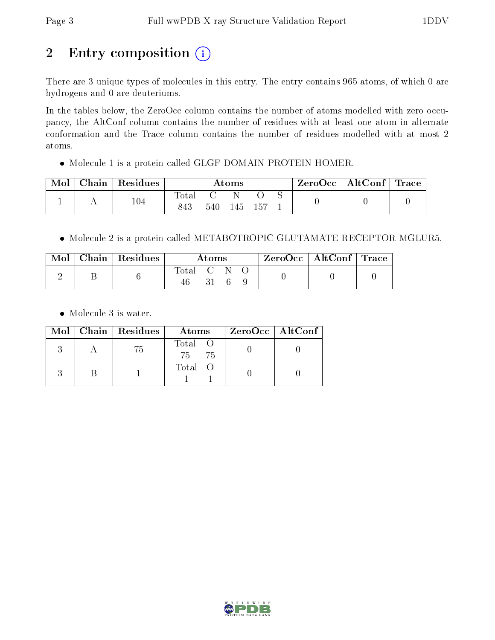# 2 Entry composition  $(i)$

There are 3 unique types of molecules in this entry. The entry contains 965 atoms, of which 0 are hydrogens and 0 are deuteriums.

In the tables below, the ZeroOcc column contains the number of atoms modelled with zero occupancy, the AltConf column contains the number of residues with at least one atom in alternate conformation and the Trace column contains the number of residues modelled with at most 2 atoms.

Molecule 1 is a protein called GLGF-DOMAIN PROTEIN HOMER.

| Mol | ${\bf Chain \mid Residues}$ | Atoms              |     |     |              |  | $\text{ZeroOcc}$   AltConf   Trace |  |
|-----|-----------------------------|--------------------|-----|-----|--------------|--|------------------------------------|--|
|     | $104\,$                     | $\rm Total$<br>843 | 540 | 145 | $15^{\circ}$ |  |                                    |  |

Molecule 2 is a protein called METABOTROPIC GLUTAMATE RECEPTOR MGLUR5.

|  | $\text{Mol}$   Chain   Residues | Atoms       |  |  |  | $\text{ZeroOcc} \mid \text{AltConf} \mid \text{Trace}$ |  |
|--|---------------------------------|-------------|--|--|--|--------------------------------------------------------|--|
|  |                                 | Total C N O |  |  |  |                                                        |  |

Molecule 3 is water.

|  | $Mol$   Chain   Residues | Atoms                 | ZeroOcc   AltConf |
|--|--------------------------|-----------------------|-------------------|
|  | 75                       | Total O<br>75<br>- 75 |                   |
|  |                          | Total O               |                   |

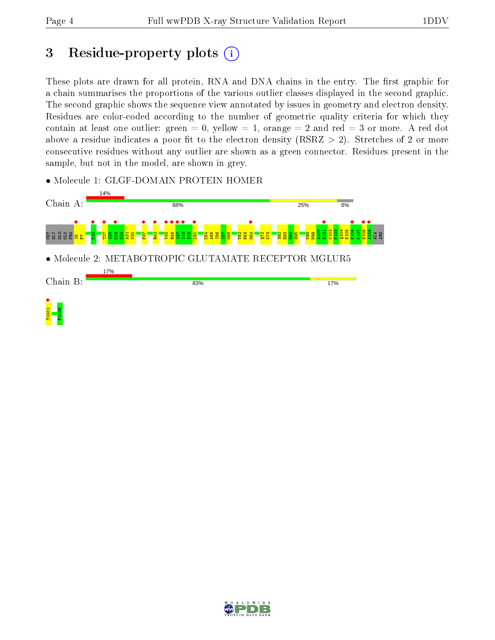## 3 Residue-property plots  $(i)$

These plots are drawn for all protein, RNA and DNA chains in the entry. The first graphic for a chain summarises the proportions of the various outlier classes displayed in the second graphic. The second graphic shows the sequence view annotated by issues in geometry and electron density. Residues are color-coded according to the number of geometric quality criteria for which they contain at least one outlier: green  $= 0$ , yellow  $= 1$ , orange  $= 2$  and red  $= 3$  or more. A red dot above a residue indicates a poor fit to the electron density (RSRZ  $> 2$ ). Stretches of 2 or more consecutive residues without any outlier are shown as a green connector. Residues present in the sample, but not in the model, are shown in grey.

• Molecule 1: GLGF-DOMAIN PROTEIN HOMER



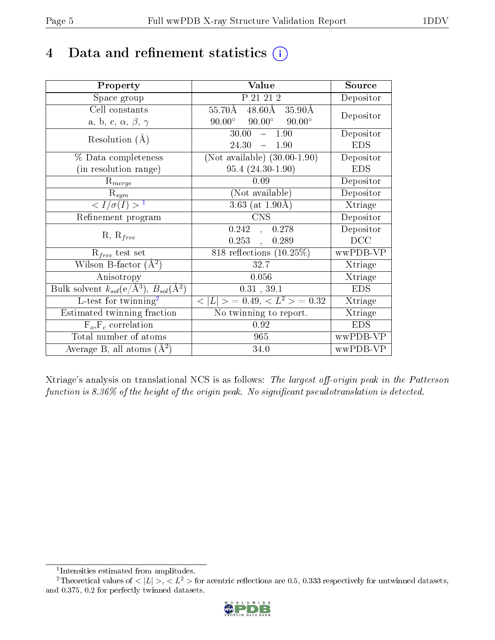## 4 Data and refinement statistics  $(i)$

| Property                                                             | Value                                           | Source     |
|----------------------------------------------------------------------|-------------------------------------------------|------------|
| Space group                                                          | P 21 21 2                                       | Depositor  |
| Cell constants                                                       | $48.60\text{\AA}$<br>55.70Å<br>35.90Å           | Depositor  |
| a, b, c, $\alpha$ , $\beta$ , $\gamma$                               | $90.00^\circ$<br>$90.00^\circ$<br>$90.00^\circ$ |            |
| Resolution $(A)$                                                     | 30.00<br>$-1.90$                                | Depositor  |
|                                                                      | 24.30<br>1.90<br>$\frac{1}{2}$                  | <b>EDS</b> |
| % Data completeness                                                  | (Not available) $(30.00-1.90)$                  | Depositor  |
| (in resolution range)                                                | $95.4(24.30-1.90)$                              | <b>EDS</b> |
| $R_{merge}$                                                          | 0.09                                            | Depositor  |
| $\mathrm{R}_{sym}$                                                   | (Not available)                                 | Depositor  |
| $\sqrt{I/\sigma}(I) > 1$                                             | 3.63 (at $1.90\text{\AA}$ )                     | Xtriage    |
| Refinement program                                                   | <b>CNS</b>                                      | Depositor  |
| $R, R_{free}$                                                        | $0.242$ ,<br>0.278                              | Depositor  |
|                                                                      | $0.253$ ,<br>0.289                              | DCC        |
| $R_{free}$ test set                                                  | 818 reflections $(10.25\%)$                     | wwPDB-VP   |
| Wilson B-factor $(A^2)$                                              | 32.7                                            | Xtriage    |
| Anisotropy                                                           | 0.056                                           | Xtriage    |
| Bulk solvent $k_{sol}(e/\mathring{A}^3)$ , $B_{sol}(\mathring{A}^2)$ | 0.31, 39.1                                      | <b>EDS</b> |
| L-test for $\mathrm{twinning}^2$                                     | $< L >$ = 0.49, $< L^2 >$ = 0.32                | Xtriage    |
| Estimated twinning fraction                                          | No twinning to report.                          | Xtriage    |
| $F_o, F_c$ correlation                                               | 0.92                                            | <b>EDS</b> |
| Total number of atoms                                                | 965                                             | wwPDB-VP   |
| Average B, all atoms $(A^2)$                                         | 34.0                                            | wwPDB-VP   |

Xtriage's analysis on translational NCS is as follows: The largest off-origin peak in the Patterson function is  $8.36\%$  of the height of the origin peak. No significant pseudotranslation is detected.

<sup>&</sup>lt;sup>2</sup>Theoretical values of  $\langle |L| \rangle$ ,  $\langle L^2 \rangle$  for acentric reflections are 0.5, 0.333 respectively for untwinned datasets, and 0.375, 0.2 for perfectly twinned datasets.



<span id="page-4-1"></span><span id="page-4-0"></span><sup>1</sup> Intensities estimated from amplitudes.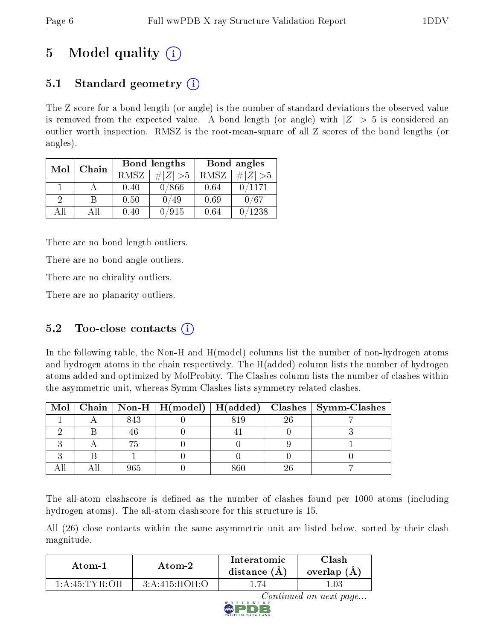## 5 Model quality  $(i)$

## 5.1 Standard geometry  $(i)$

The Z score for a bond length (or angle) is the number of standard deviations the observed value is removed from the expected value. A bond length (or angle) with  $|Z| > 5$  is considered an outlier worth inspection. RMSZ is the root-mean-square of all Z scores of the bond lengths (or angles).

| Mol      | Chain |      | Bond lengths | Bond angles |             |  |
|----------|-------|------|--------------|-------------|-------------|--|
|          |       | RMSZ | # $ Z  > 5$  | RMSZ        | # $ Z  > 5$ |  |
|          |       | 0.40 | 0/866        | 0.64        | 0/1171      |  |
| $\Omega$ | R     | 0.50 | '49          | 0.69        | 0/67        |  |
| AH       | All   | 0.40 | /915         | 0.64        | 1238        |  |

There are no bond length outliers.

There are no bond angle outliers.

There are no chirality outliers.

There are no planarity outliers.

## 5.2 Too-close contacts  $(i)$

In the following table, the Non-H and H(model) columns list the number of non-hydrogen atoms and hydrogen atoms in the chain respectively. The H(added) column lists the number of hydrogen atoms added and optimized by MolProbity. The Clashes column lists the number of clashes within the asymmetric unit, whereas Symm-Clashes lists symmetry related clashes.

|  |     |     | Mol   Chain   Non-H   H(model)   H(added)   Clashes   Symm-Clashes |
|--|-----|-----|--------------------------------------------------------------------|
|  | 843 | 819 |                                                                    |
|  |     |     |                                                                    |
|  |     |     |                                                                    |
|  |     |     |                                                                    |
|  |     |     |                                                                    |

The all-atom clashscore is defined as the number of clashes found per 1000 atoms (including hydrogen atoms). The all-atom clashscore for this structure is 15.

All (26) close contacts within the same asymmetric unit are listed below, sorted by their clash magnitude.

| Atom-1             | Atom-2          | Interatomic<br>distance (A) | $\cap$ lash $\Box$<br>overlap<br>(A, |  |
|--------------------|-----------------|-----------------------------|--------------------------------------|--|
| $1:$ A:45: TYR: OH | 3: A:415: HOH:O |                             | .03                                  |  |

Continued on next page...

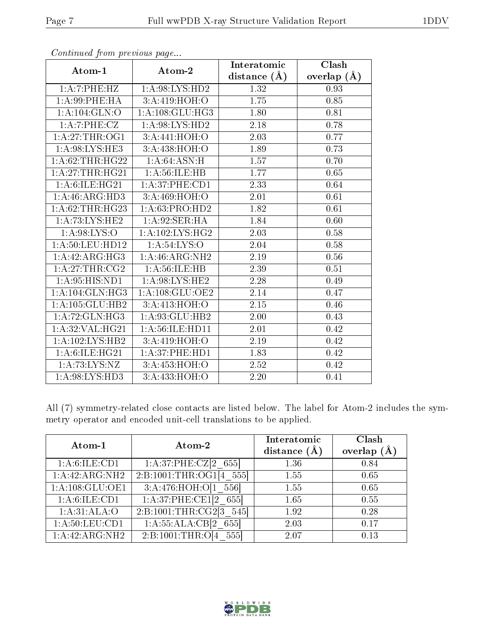| $\mathbf{r}$       | $\mathbf{1}$ $\mathbf{0}$    | Interatomic       | Clash         |
|--------------------|------------------------------|-------------------|---------------|
| Atom-1             | Atom-2                       | distance $(\AA)$  | overlap $(A)$ |
| 1:A:7:PHE:HZ       | 1: A:98: LYS: HD2            | 1.32              | 0.93          |
| 1: A:99: PHE: HA   | 3:A:419:HOH:O                | 1.75              | 0.85          |
| 1: A: 104: GLN: O  | 1:A:108:GLU:HG3              | 1.80              | 0.81          |
| 1:A:7:PHE:CZ       | 1: A:98: LYS: HD2            | 2.18              | 0.78          |
| 1: A:27:THR:OG1    | 3:A:441:HOH:O                | 2.03              | 0.77          |
| 1: A:98: LYS: HE3  | 3:A:438:HOH:O                | 1.89              | 0.73          |
| 1: A:62:THR:HG22   | 1: A:64: ASN:H               | $1.57\,$          | 0.70          |
| 1:A:27:THR:HG21    | 1: A:56: ILE: HB             | 1.77              | 0.65          |
| 1: A:6: ILE: HG21  | 1:A:37:PHE:CD1               | 2.33              | 0.64          |
| 1:A:46:ARG:HD3     | 3: A:469:HOH:O               | 2.01              | $0.61\,$      |
| 1:A:62:THR:HG23    | 1:A:63:PRO:HD2               | 1.82              | 0.61          |
| 1: A: 73: LYS: HE2 | 1:A:92:SER:HA                | 1.84              | 0.60          |
| 1: A:98: LYS:O     | 1: A:102:LYS:HG2             | 2.03              | 0.58          |
| 1: A:50: LEU: HD12 | 1: A:54:LYS:O                | 2.04              | $0.58\,$      |
| 1:A:42:ARG:HG3     | 1:A:46:ARG:NH2               | $2.19\,$          | $0.56\,$      |
| 1:A:27:THR:CG2     | 1: A:56: ILE: HB             | 2.39              | 0.51          |
| 1: A:95: HIS: ND1  | 1: A:98: LYS: HE2            | 2.28              | 0.49          |
| 1:A:104:GLN:HG3    | $1:A:108:GL\overline{U:OE2}$ | 2.14              | 0.47          |
| 1:A:105:GLU:HB2    | 3:A:413:HOH:O                | $2.\overline{15}$ | 0.46          |
| 1: A:72: GLN: HG3  | 1:A:93:GLU:HB2               | 2.00              | 0.43          |
| 1: A:32: VAL:HG21  | 1:A:56:ILE:HD11              | 2.01              | 0.42          |
| 1:A:102:LYS:HB2    | 3:A:419:HOH:O                | $2.19\,$          | 0.42          |
| 1: A:6: ILE: HG21  | 1: A:37:PHE:HD1              | 1.83              | 0.42          |
| 1:A:73:LYS:NZ      | 3:A:453:HOH:O                | 2.52              | 0.42          |
| 1: A:98: LYS: HD3  | 3:A:433:HOH:O                | 2.20              | 0.41          |

Continued from previous page...

All (7) symmetry-related close contacts are listed below. The label for Atom-2 includes the symmetry operator and encoded unit-cell translations to be applied.

| Atom-1                      | Atom-2                  | Interatomic<br>distance $(\AA)$ | Clash<br>overlap $(A)$ |
|-----------------------------|-------------------------|---------------------------------|------------------------|
| 1: A:6: ILE: CD1            | 1:A:37:PHE:CZ[2 655]    | 1.36                            | 0.84                   |
| 1:A:42:ARG:NH2              | 2:B:1001:THR:OG1[4 555] | 1.55                            | 0.65                   |
| 1:A:108:GLU:OE1             | 3:A:476:HOH:O[1 556]    | 1.55                            | 0.65                   |
| 1:A:6:ILE:CD1               | 1:A:37:PHE:CE1[2 655]   | 1.65                            | 0.55                   |
| 1:A:31:ALA:O                | 2:B:1001:THR:CG2[3 545] | 1.92                            | 0.28                   |
| 1: A:50: LEU:CD1            | 1:A:55:ALA:CB[2 655]    | 2.03                            | 0.17                   |
| $1:A:42:ARG:\overline{NH2}$ | 2:B:1001:THR:O[4 555]   | 2.07                            | 0.13                   |

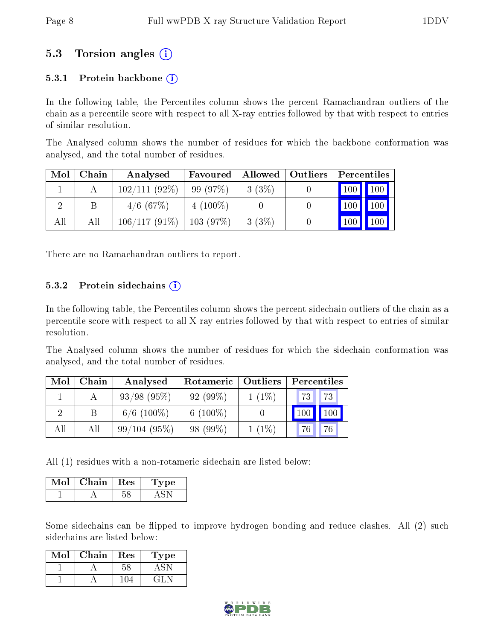## 5.3 Torsion angles (i)

#### 5.3.1 Protein backbone  $(i)$

In the following table, the Percentiles column shows the percent Ramachandran outliers of the chain as a percentile score with respect to all X-ray entries followed by that with respect to entries of similar resolution.

The Analysed column shows the number of residues for which the backbone conformation was analysed, and the total number of residues.

| Mol | Chain | Analysed        | Favoured        | Allowed | $\blacksquare$ Outliers | Percentiles         |     |
|-----|-------|-----------------|-----------------|---------|-------------------------|---------------------|-----|
|     |       | $102/111(92\%)$ | 99(97%)         | 3(3%)   |                         | $\vert$ 100 $\vert$ | 100 |
|     | В     | $4/6$ (67\%)    | $4(100\%)$      |         |                         | 100                 | 100 |
| All | Аll   | $106/117(91\%)$ | $\pm 103$ (97%) | 3(3%)   |                         | 100                 |     |

There are no Ramachandran outliers to report.

#### 5.3.2 Protein sidechains  $(i)$

In the following table, the Percentiles column shows the percent sidechain outliers of the chain as a percentile score with respect to all X-ray entries followed by that with respect to entries of similar resolution.

The Analysed column shows the number of residues for which the sidechain conformation was analysed, and the total number of residues.

| Mol | Chain | Analysed         | Rotameric   | Outliers | Percentiles                                |
|-----|-------|------------------|-------------|----------|--------------------------------------------|
|     |       | $93/98$ $(95\%)$ | 92(99%)     | $1(1\%)$ | 73<br><b>73</b>                            |
|     |       | $6/6$ (100%)     | 6 $(100\%)$ |          | $\vert$ 100 $\vert$<br>$\vert$ 100 $\vert$ |
| All | All   | 99/104(95%)      | 98 (99%)    | $1(1\%)$ | 76<br>76 <sub>1</sub>                      |

All (1) residues with a non-rotameric sidechain are listed below:

| Chain | <b>Res</b> | рe |
|-------|------------|----|
|       |            |    |

Some sidechains can be flipped to improve hydrogen bonding and reduce clashes. All (2) such sidechains are listed below:

| Mol | Chain | <b>Res</b> | l'ype |
|-----|-------|------------|-------|
|     |       | 58         |       |
|     |       |            | 41.   |

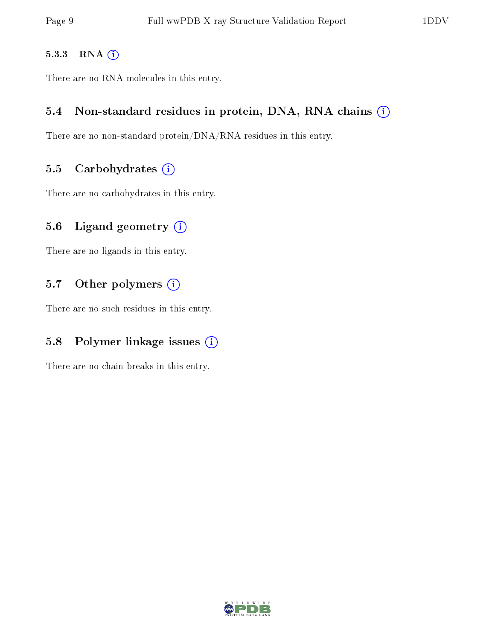#### 5.3.3 RNA [O](https://www.wwpdb.org/validation/2017/XrayValidationReportHelp#rna)i

There are no RNA molecules in this entry.

#### 5.4 Non-standard residues in protein, DNA, RNA chains (i)

There are no non-standard protein/DNA/RNA residues in this entry.

#### 5.5 Carbohydrates  $(i)$

There are no carbohydrates in this entry.

#### 5.6 Ligand geometry  $(i)$

There are no ligands in this entry.

#### 5.7 [O](https://www.wwpdb.org/validation/2017/XrayValidationReportHelp#nonstandard_residues_and_ligands)ther polymers (i)

There are no such residues in this entry.

### 5.8 Polymer linkage issues  $(i)$

There are no chain breaks in this entry.

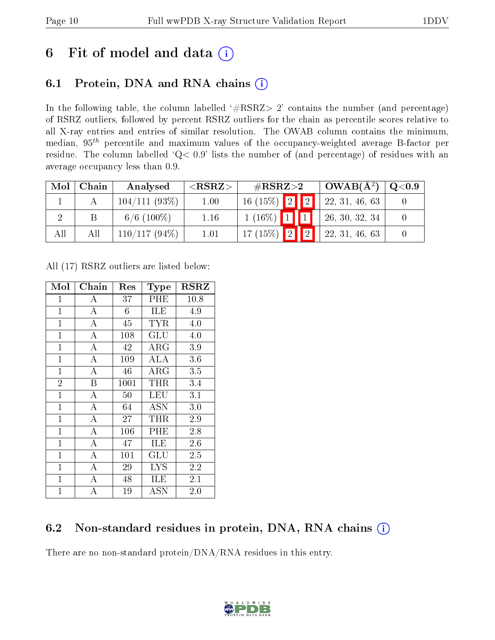## 6 Fit of model and data  $(i)$

## 6.1 Protein, DNA and RNA chains  $(i)$

In the following table, the column labelled  $#RSRZ> 2'$  contains the number (and percentage) of RSRZ outliers, followed by percent RSRZ outliers for the chain as percentile scores relative to all X-ray entries and entries of similar resolution. The OWAB column contains the minimum, median,  $95<sup>th</sup>$  percentile and maximum values of the occupancy-weighted average B-factor per residue. The column labelled ' $Q< 0.9$ ' lists the number of (and percentage) of residues with an average occupancy less than 0.9.

| Mol | Chain | Analysed        | ${ <\hspace{-1.5pt}{\mathrm{RSRZ}} \hspace{-1.5pt}>}$ | $\#\text{RSRZ}{>}2$ |             | $OWAB(A^2)$    | $\rm Q\textcolor{black}{<}0.9$ |
|-----|-------|-----------------|-------------------------------------------------------|---------------------|-------------|----------------|--------------------------------|
|     |       | $104/111(93\%)$ | 1.00                                                  | $16(15\%)$ 2        | $\boxed{2}$ | 22, 31, 46, 63 |                                |
|     |       | $6/6$ (100\%)   | 1.16                                                  | $1(16\%)$           |             | 26, 30, 32, 34 |                                |
| All | All   | $110/117(94\%)$ | 1.01                                                  | $17(15\%)$<br> 2    | ി           | 22, 31, 46, 63 |                                |

All (17) RSRZ outliers are listed below:

| Mol            | Chain              | Res  | Type                 | <b>RSRZ</b> |
|----------------|--------------------|------|----------------------|-------------|
| $\mathbf{1}$   | A                  | 37   | PHE                  | 10.8        |
| $\mathbf{1}$   | $\overline{\rm A}$ | 6    | ILE                  | 4.9         |
| $\mathbf{1}$   | $\overline{\rm A}$ | 45   | TYR                  | 4.0         |
| $\mathbf{1}$   | $\overline{A}$     | 108  | GLU                  | $4.0\,$     |
| $\mathbf{1}$   | A                  | 42   | $\rm{ARG}$           | 3.9         |
| $\mathbf{1}$   | $\overline{A}$     | 109  | ALA                  | 3.6         |
| $\mathbf{1}$   | $\mathbf{A}$       | 46   | $\rm{ARG}$           | 3.5         |
| $\overline{2}$ | B                  | 1001 | THR                  | 3.4         |
| $\mathbf{1}$   | $\overline{A}$     | 50   | LEU                  | 3.1         |
| $\mathbf{1}$   | A                  | 64   | <b>ASN</b>           | 3.0         |
| $\mathbf{1}$   | $\bf{A}$           | 27   | THR                  | 2.9         |
| $\mathbf{1}$   | $\overline{\rm A}$ | 106  | PHE                  | 2.8         |
| $\mathbf{1}$   | $\overline{A}$     | 47   | ILE                  | 2.6         |
| $\mathbf{1}$   | $\overline{\rm A}$ | 101  | $\operatorname{GLU}$ | 2.5         |
| $\mathbf{1}$   | $\overline{\rm A}$ | 29   | LYS                  | 2.2         |
| $\mathbf 1$    | A                  | 48   | ILE                  | $2.1\,$     |
| 1              | А                  | 19   | $\operatorname{ASN}$ | 2.0         |

### 6.2 Non-standard residues in protein, DNA, RNA chains  $(i)$

There are no non-standard protein/DNA/RNA residues in this entry.